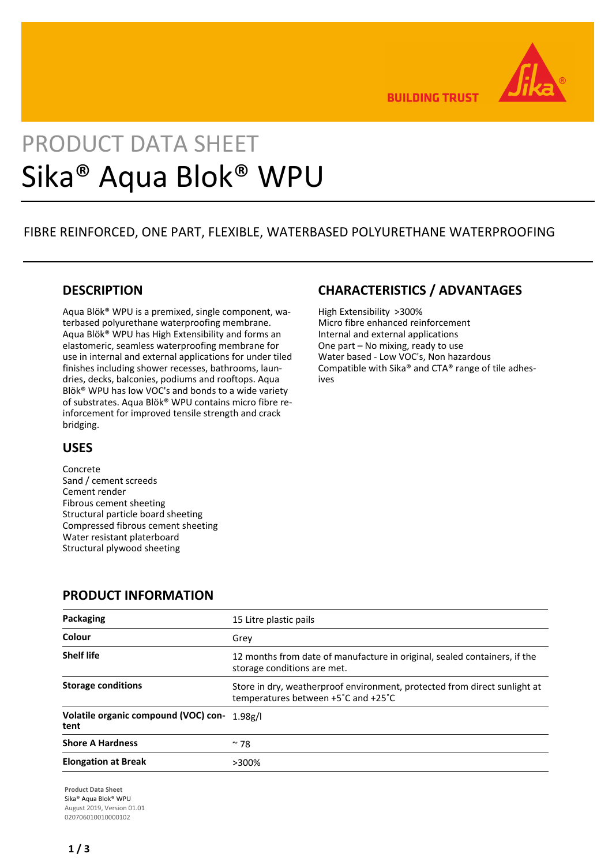

**BUILDING TRUST** 

# PRODUCT DATA SHEET Sika® Aqua Blok® WPU

# FIBRE REINFORCED, ONE PART, FLEXIBLE, WATERBASED POLYURETHANE WATERPROOFING

# **DESCRIPTION**

Aqua Blök® WPU is a premixed, single component, waterbased polyurethane waterproofing membrane. Aqua Blök® WPU has High Extensibility and forms an elastomeric, seamless waterproofing membrane for use in internal and external applications for under tiled finishes including shower recesses, bathrooms, laundries, decks, balconies, podiums and rooftops. Aqua Blök® WPU has low VOC's and bonds to a wide variety of substrates. Aqua Blök® WPU contains micro fibre reinforcement for improved tensile strength and crack bridging.

# **USES**

Concrete Sand / cement screeds Cement render Fibrous cement sheeting Structural particle board sheeting Compressed fibrous cement sheeting Water resistant platerboard Structural plywood sheeting

# **PRODUCT INFORMATION**

| Packaging                                            | 15 Litre plastic pails                                                                                           |
|------------------------------------------------------|------------------------------------------------------------------------------------------------------------------|
| Colour                                               | Grey                                                                                                             |
| <b>Shelf life</b>                                    | 12 months from date of manufacture in original, sealed containers, if the<br>storage conditions are met.         |
| <b>Storage conditions</b>                            | Store in dry, weatherproof environment, protected from direct sunlight at<br>temperatures between +5°C and +25°C |
| Volatile organic compound (VOC) con- 1.98g/l<br>tent |                                                                                                                  |
| <b>Shore A Hardness</b>                              | $~\sim$ 78                                                                                                       |
| <b>Elongation at Break</b>                           | >300%                                                                                                            |

**Product Data Sheet** Sika® Aqua Blok® WPU August 2019, Version 01.01 020706010010000102

# **CHARACTERISTICS / ADVANTAGES**

High Extensibility >300% Micro fibre enhanced reinforcement Internal and external applications One part – No mixing, ready to use Water based - Low VOC's, Non hazardous Compatible with Sika® and CTA® range of tile adhesives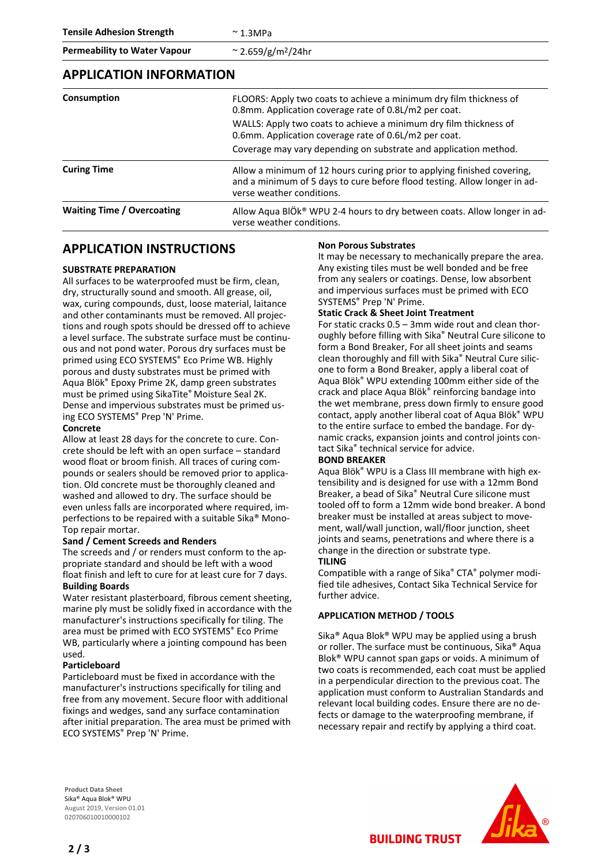**Tensile Adhesion Strength**  $\sim 1.3 \text{MPa}$ 

**Permeability to Water Vapour** ~ 2.659/g/m2/24hr

#### **APPLICATION INFORMATION**

| Consumption                       | FLOORS: Apply two coats to achieve a minimum dry film thickness of<br>0.8mm. Application coverage rate of 0.8L/m2 per coat.                                                       |
|-----------------------------------|-----------------------------------------------------------------------------------------------------------------------------------------------------------------------------------|
|                                   | WALLS: Apply two coats to achieve a minimum dry film thickness of<br>0.6mm. Application coverage rate of 0.6L/m2 per coat.                                                        |
|                                   | Coverage may vary depending on substrate and application method.                                                                                                                  |
| <b>Curing Time</b>                | Allow a minimum of 12 hours curing prior to applying finished covering,<br>and a minimum of 5 days to cure before flood testing. Allow longer in ad-<br>verse weather conditions. |
| <b>Waiting Time / Overcoating</b> | Allow Agua BIÖk® WPU 2-4 hours to dry between coats. Allow longer in ad-<br>verse weather conditions.                                                                             |

### **APPLICATION INSTRUCTIONS**

#### **SUBSTRATE PREPARATION**

All surfaces to be waterproofed must be firm, clean, dry, structurally sound and smooth. All grease, oil, wax, curing compounds, dust, loose material, laitance and other contaminants must be removed. All projections and rough spots should be dressed off to achieve a level surface. The substrate surface must be continuous and not pond water. Porous dry surfaces must be primed using ECO SYSTEMS® Eco Prime WB. Highly porous and dusty substrates must be primed with Aqua Blök® Epoxy Prime 2K, damp green substrates must be primed using SikaTite® Moisture Seal 2K. Dense and impervious substrates must be primed using ECO SYSTEMS® Prep 'N' Prime.

#### **Concrete**

Allow at least 28 days for the concrete to cure. Concrete should be left with an open surface – standard wood float or broom finish. All traces of curing compounds or sealers should be removed prior to application. Old concrete must be thoroughly cleaned and washed and allowed to dry. The surface should be even unless falls are incorporated where required, imperfections to be repaired with a suitable Sika® Mono-Top repair mortar.

#### **Sand / Cement Screeds and Renders**

The screeds and / or renders must conform to the appropriate standard and should be left with a wood float finish and left to cure for at least cure for 7 days. **Building Boards**

Water resistant plasterboard, fibrous cement sheeting, marine ply must be solidly fixed in accordance with the manufacturer's instructions specifically for tiling. The area must be primed with ECO SYSTEMS® Eco Prime WB, particularly where a jointing compound has been used.

#### **Particleboard**

Particleboard must be fixed in accordance with the manufacturer's instructions specifically for tiling and free from any movement. Secure floor with additional fixings and wedges, sand any surface contamination after initial preparation. The area must be primed with ECO SYSTEMS® Prep 'N' Prime.

#### **Non Porous Substrates**

It may be necessary to mechanically prepare the area. Any existing tiles must be well bonded and be free from any sealers or coatings. Dense, low absorbent and impervious surfaces must be primed with ECO SYSTEMS® Prep 'N' Prime.

#### **Static Crack & Sheet Joint Treatment**

For static cracks 0.5 – 3mm wide rout and clean thoroughly before filling with Sika® Neutral Cure silicone to form a Bond Breaker, For all sheet joints and seams clean thoroughly and fill with Sika® Neutral Cure silicone to form a Bond Breaker, apply a liberal coat of Aqua Blök® WPU extending 100mm either side of the crack and place Aqua Blök® reinforcing bandage into the wet membrane, press down firmly to ensure good contact, apply another liberal coat of Aqua Blök® WPU to the entire surface to embed the bandage. For dynamic cracks, expansion joints and control joints contact Sika® technical service for advice.

#### **BOND BREAKER**

Aqua Blök® WPU is a Class III membrane with high extensibility and is designed for use with a 12mm Bond Breaker, a bead of Sika® Neutral Cure silicone must tooled off to form a 12mm wide bond breaker. A bond breaker must be installed at areas subject to movement, wall/wall junction, wall/floor junction, sheet joints and seams, penetrations and where there is a change in the direction or substrate type. **TILING**

Compatible with a range of Sika® CTA® polymer modified tile adhesives, Contact Sika Technical Service for further advice.

#### **APPLICATION METHOD / TOOLS**

Sika® Aqua Blok® WPU may be applied using a brush or roller. The surface must be continuous, Sika® Aqua Blok® WPU cannot span gaps or voids. A minimum of two coats is recommended, each coat must be applied in a perpendicular direction to the previous coat. The application must conform to Australian Standards and relevant local building codes. Ensure there are no defects or damage to the waterproofing membrane, if necessary repair and rectify by applying a third coat.

**Product Data Sheet** Sika® Aqua Blok® WPU August 2019, Version 01.01 020706010010000102



**2 / 3**

**BUILDING TRUST**